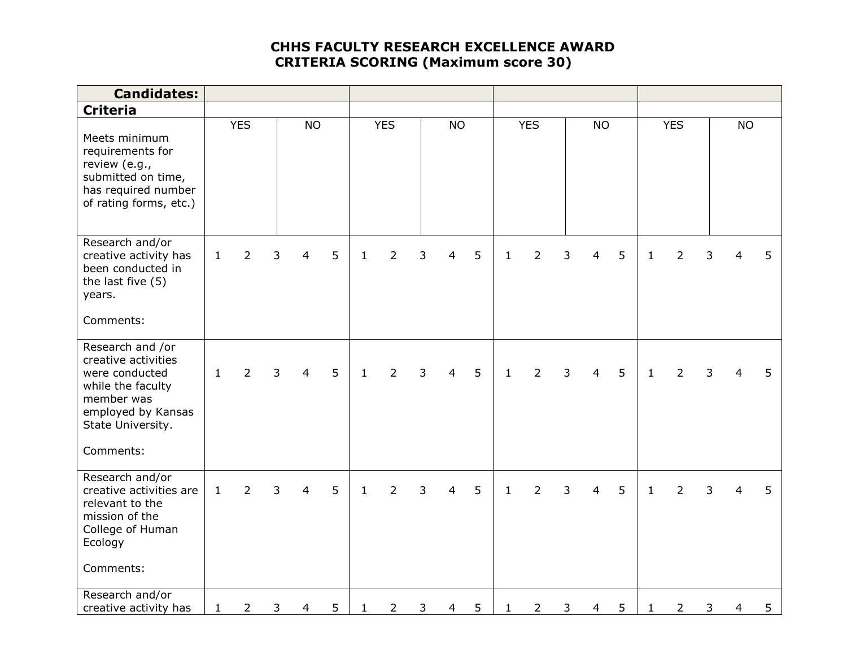## **CHHS FACULTY RESEARCH EXCELLENCE AWARD CRITERIA SCORING (Maximum score 30)**

| <b>Candidates:</b>                                                                                                                                   |              |                |   |                |   |              |                |   |                |   |              |                |   |                |   |              |                |   |                |   |
|------------------------------------------------------------------------------------------------------------------------------------------------------|--------------|----------------|---|----------------|---|--------------|----------------|---|----------------|---|--------------|----------------|---|----------------|---|--------------|----------------|---|----------------|---|
| <b>Criteria</b>                                                                                                                                      |              |                |   |                |   |              |                |   |                |   |              |                |   |                |   |              |                |   |                |   |
| Meets minimum<br>requirements for<br>review (e.g.,<br>submitted on time,<br>has required number<br>of rating forms, etc.)                            |              | <b>YES</b>     |   | <b>NO</b>      |   |              | <b>YES</b>     |   | <b>NO</b>      |   |              | <b>YES</b>     |   | <b>NO</b>      |   |              | <b>YES</b>     |   | <b>NO</b>      |   |
| Research and/or<br>creative activity has<br>been conducted in<br>the last five (5)<br>years.<br>Comments:                                            | $\mathbf{1}$ | $\overline{2}$ | 3 | $\overline{4}$ | 5 | $\mathbf{1}$ | $\overline{2}$ | 3 | $\overline{4}$ | 5 | $\mathbf{1}$ | $\overline{2}$ | 3 | $\overline{4}$ | 5 | $\mathbf{1}$ | $\overline{2}$ | 3 | 4              | 5 |
| Research and /or<br>creative activities<br>were conducted<br>while the faculty<br>member was<br>employed by Kansas<br>State University.<br>Comments: | $\mathbf{1}$ | $\overline{2}$ | 3 | $\overline{4}$ | 5 | $\mathbf{1}$ | $\overline{2}$ | 3 | $\overline{4}$ | 5 | $\mathbf{1}$ | $\overline{2}$ | 3 | $\overline{4}$ | 5 | $\mathbf{1}$ | $\overline{2}$ | 3 | $\overline{4}$ | 5 |
| Research and/or<br>creative activities are<br>relevant to the<br>mission of the<br>College of Human<br>Ecology<br>Comments:                          | $\mathbf{1}$ | $\overline{2}$ | 3 | 4              | 5 | $\mathbf{1}$ | $\overline{2}$ | 3 | 4              | 5 | $\mathbf{1}$ | $\overline{2}$ | 3 | $\overline{4}$ | 5 | $\mathbf{1}$ | $\overline{2}$ | 3 | 4              | 5 |
| Research and/or<br>creative activity has                                                                                                             | $\mathbf{1}$ | $\overline{2}$ | 3 | $\overline{4}$ | 5 | 1            | $\overline{2}$ | 3 | $\overline{4}$ | 5 | $\mathbf 1$  | $\overline{2}$ | 3 | $\overline{4}$ | 5 | $\mathbf{1}$ | $\overline{2}$ | 3 | $\overline{4}$ | 5 |